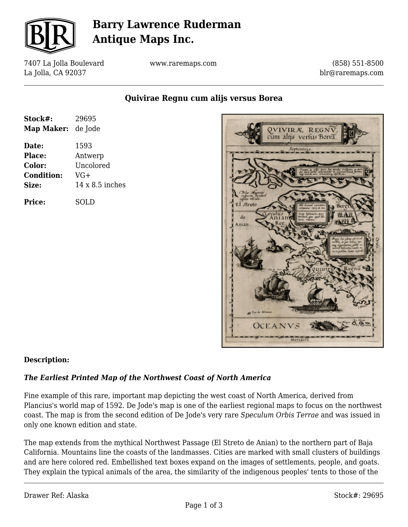

# **Barry Lawrence Ruderman Antique Maps Inc.**

7407 La Jolla Boulevard La Jolla, CA 92037

www.raremaps.com

(858) 551-8500 blr@raremaps.com

**Quivirae Regnu cum alijs versus Borea**

| Stock#:           | 29695                  |
|-------------------|------------------------|
| Map Maker:        | de Jode                |
| Date:             | 1593                   |
| Place:            | Antwerp                |
| Color:            | Uncolored              |
| <b>Condition:</b> | $VG+$                  |
| Size:             | $14 \times 8.5$ inches |
| Price:            | SOLD                   |



### **Description:**

### *The Earliest Printed Map of the Northwest Coast of North America*

Fine example of this rare, important map depicting the west coast of North America, derived from Plancius's world map of 1592. De Jode's map is one of the earliest regional maps to focus on the northwest coast. The map is from the second edition of De Jode's very rare *Speculum Orbis Terrae* and was issued in only one known edition and state.

The map extends from the mythical Northwest Passage (El Streto de Anian) to the northern part of Baja California. Mountains line the coasts of the landmasses. Cities are marked with small clusters of buildings and are here colored red. Embellished text boxes expand on the images of settlements, people, and goats. They explain the typical animals of the area, the similarity of the indigenous peoples' tents to those of the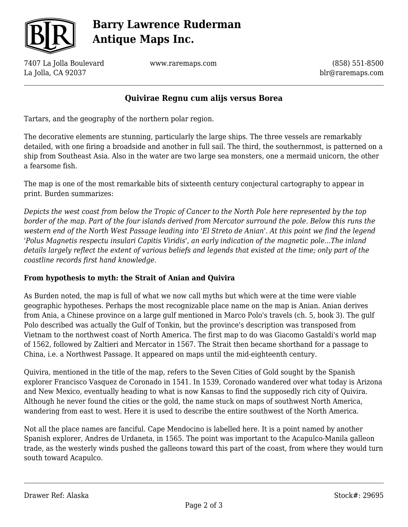

# **Barry Lawrence Ruderman Antique Maps Inc.**

7407 La Jolla Boulevard La Jolla, CA 92037

www.raremaps.com

(858) 551-8500 blr@raremaps.com

### **Quivirae Regnu cum alijs versus Borea**

Tartars, and the geography of the northern polar region.

The decorative elements are stunning, particularly the large ships. The three vessels are remarkably detailed, with one firing a broadside and another in full sail. The third, the southernmost, is patterned on a ship from Southeast Asia. Also in the water are two large sea monsters, one a mermaid unicorn, the other a fearsome fish.

The map is one of the most remarkable bits of sixteenth century conjectural cartography to appear in print. Burden summarizes:

*Depicts the west coast from below the Tropic of Cancer to the North Pole here represented by the top border of the map. Part of the four islands derived from Mercator surround the pole. Below this runs the western end of the North West Passage leading into 'El Streto de Anian'. At this point we find the legend 'Polus Magnetis respectu insulari Capitis Viridis', an early indication of the magnetic pole...The inland details largely reflect the extent of various beliefs and legends that existed at the time; only part of the coastline records first hand knowledge.*

### **From hypothesis to myth: the Strait of Anian and Quivira**

As Burden noted, the map is full of what we now call myths but which were at the time were viable geographic hypotheses. Perhaps the most recognizable place name on the map is Anian. Anian derives from Ania, a Chinese province on a large gulf mentioned in Marco Polo's travels (ch. 5, book 3). The gulf Polo described was actually the Gulf of Tonkin, but the province's description was transposed from Vietnam to the northwest coast of North America. The first map to do was Giacomo Gastaldi's world map of 1562, followed by Zaltieri and Mercator in 1567. The Strait then became shorthand for a passage to China, i.e. a Northwest Passage. It appeared on maps until the mid-eighteenth century.

Quivira, mentioned in the title of the map, refers to the Seven Cities of Gold sought by the Spanish explorer Francisco Vasquez de Coronado in 1541. In 1539, Coronado wandered over what today is Arizona and New Mexico, eventually heading to what is now Kansas to find the supposedly rich city of Quivira. Although he never found the cities or the gold, the name stuck on maps of southwest North America, wandering from east to west. Here it is used to describe the entire southwest of the North America.

Not all the place names are fanciful. Cape Mendocino is labelled here. It is a point named by another Spanish explorer, Andres de Urdaneta, in 1565. The point was important to the Acapulco-Manila galleon trade, as the westerly winds pushed the galleons toward this part of the coast, from where they would turn south toward Acapulco.